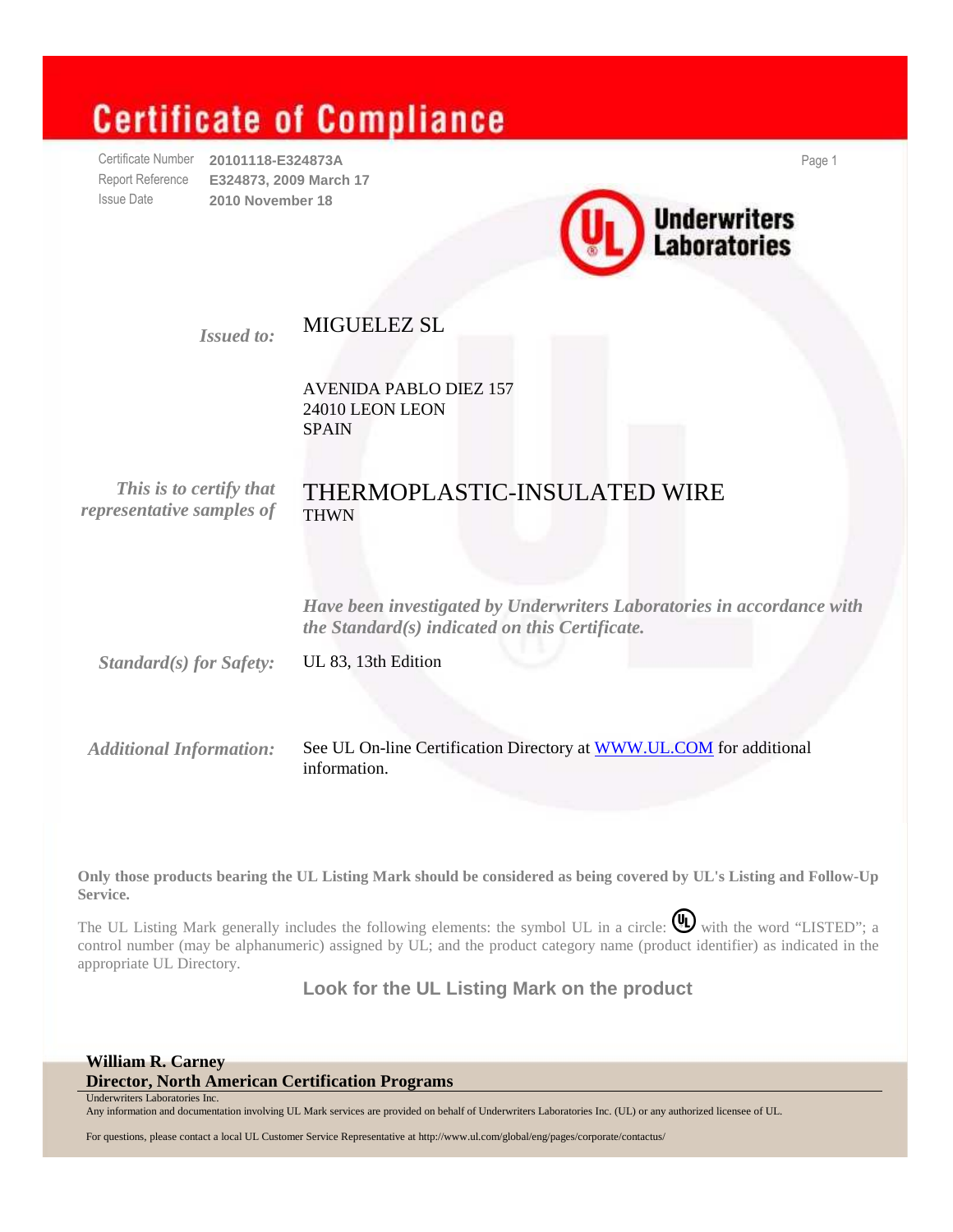# **Certificate of Compliance**

Certificate Number **20101118-E324873A** Page 1 Report Reference **E324873, 2009 March 17**  Issue Date **2010 November 18** 



### *Issued to:* MIGUELEZ SL

 AVENIDA PABLO DIEZ 157 24010 LEON LEON SPAIN

*representative samples of* THWN

# *This is to certify that* THERMOPLASTIC-INSULATED WIRE

 *Have been investigated by Underwriters Laboratories in accordance with the Standard(s) indicated on this Certificate.*

*Standard(s) for Safety:* UL 83, 13th Edition

*Additional Information:* See UL On-line Certification Directory at WWW.UL.COM for additional information.

**Only those products bearing the UL Listing Mark should be considered as being covered by UL's Listing and Follow-Up Service.**

The UL Listing Mark generally includes the following elements: the symbol UL in a circle:  $\mathbb{Q}$  with the word "LISTED"; a control number (may be alphanumeric) assigned by UL; and the product category name (product identifier) as indicated in the appropriate UL Directory.

**Look for the UL Listing Mark on the product** 

### **William R. Carney**

**Director, North American Certification Programs**  Underwriters Laboratories Inc.

Any information and documentation involving UL Mark services are provided on behalf of Underwriters Laboratories Inc. (UL) or any authorized licensee of UL.

For questions, please contact a local UL Customer Service Representative at http://www.ul.com/global/eng/pages/corporate/contactus/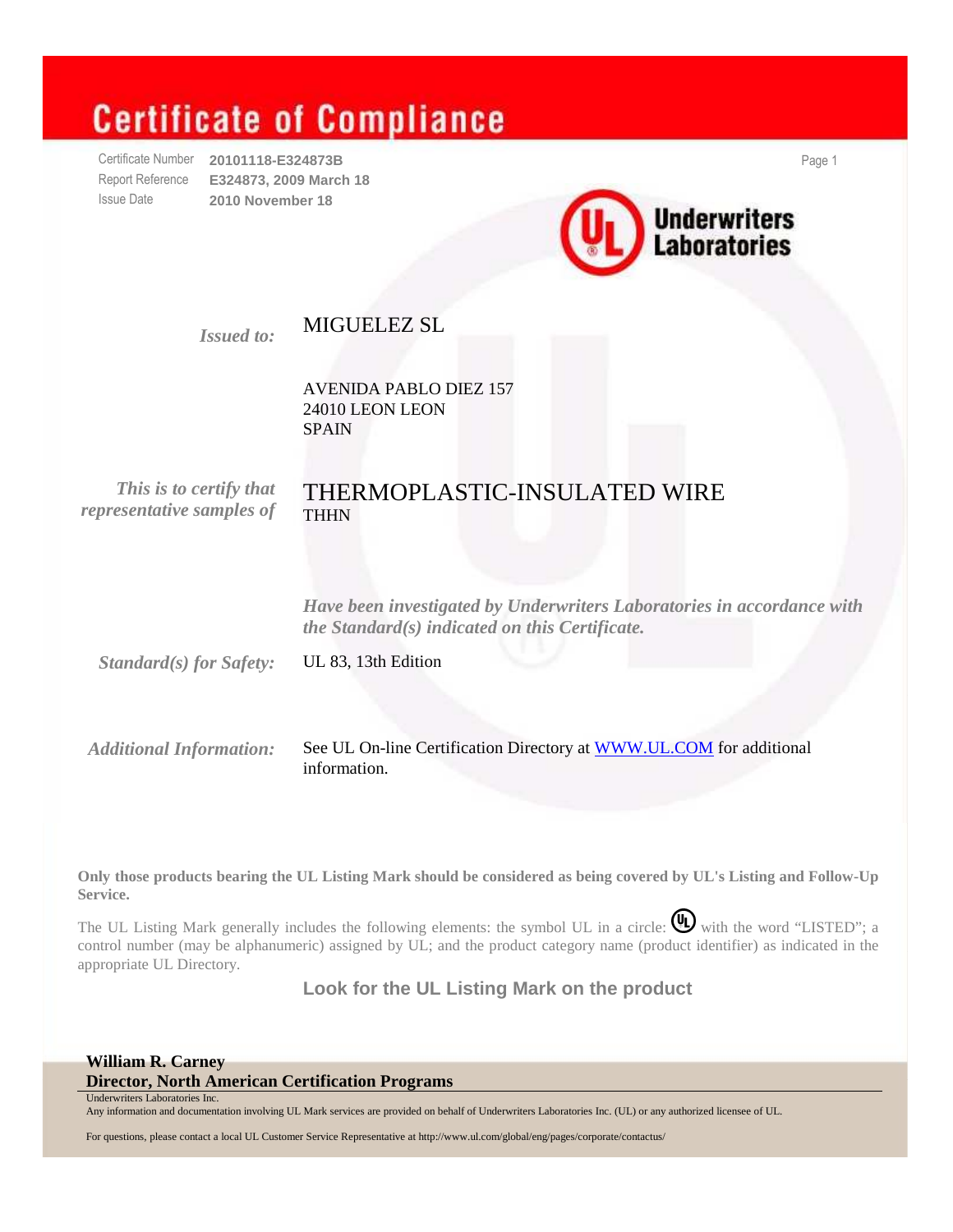# **Certificate of Compliance**

Certificate Number **20101118-E324873B** Page 1 Report Reference **E324873, 2009 March 18**  Issue Date **2010 November 18** 



### *Issued to:* MIGUELEZ SL

 AVENIDA PABLO DIEZ 157 24010 LEON LEON SPAIN

*representative samples of* THHN

# *This is to certify that* THERMOPLASTIC-INSULATED WIRE

 *Have been investigated by Underwriters Laboratories in accordance with the Standard(s) indicated on this Certificate.*

*Standard(s) for Safety:* UL 83, 13th Edition

*Additional Information:* See UL On-line Certification Directory at WWW.UL.COM for additional information.

**Only those products bearing the UL Listing Mark should be considered as being covered by UL's Listing and Follow-Up Service.**

The UL Listing Mark generally includes the following elements: the symbol UL in a circle:  $\mathbb{Q}$  with the word "LISTED"; a control number (may be alphanumeric) assigned by UL; and the product category name (product identifier) as indicated in the appropriate UL Directory.

**Look for the UL Listing Mark on the product** 

### **William R. Carney**

**Director, North American Certification Programs**  Underwriters Laboratories Inc.

Any information and documentation involving UL Mark services are provided on behalf of Underwriters Laboratories Inc. (UL) or any authorized licensee of UL.

For questions, please contact a local UL Customer Service Representative at http://www.ul.com/global/eng/pages/corporate/contactus/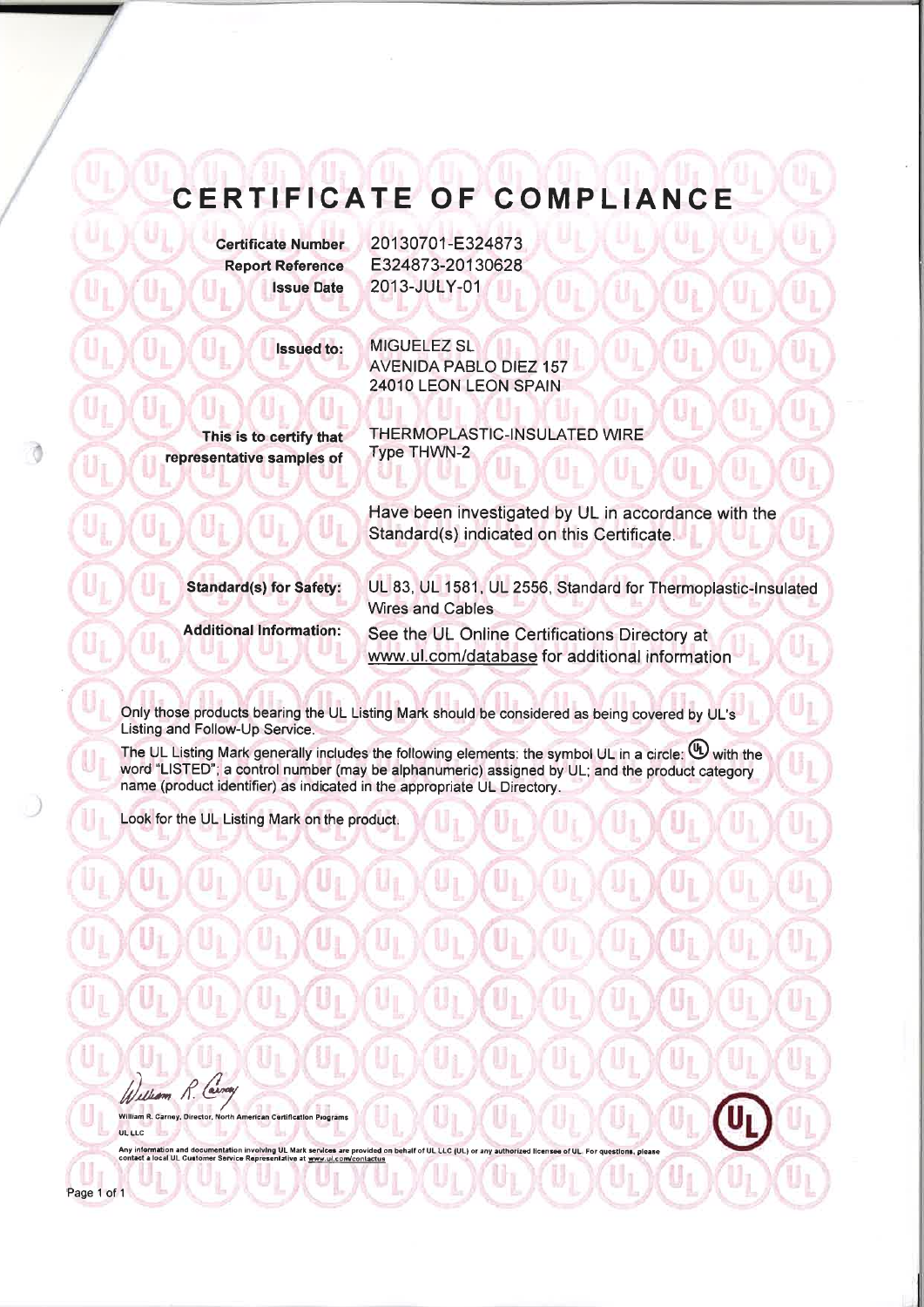## CERTIFICATE OF COMPLIANCE

**Certificate Number Report Reference Issue Date** 

**Issued to:** 

20130701-E324873 E324873-20130628 2013-JULY-01

**MIGUELEZ SL AVENIDA PABLO DIEZ 157** 24010 LEON LEON SPAIN

This is to certify that representative samples of THERMOPLASTIC-INSULATED WIRE **Type THWN-2** 

Have been investigated by UL in accordance with the Standard(s) indicated on this Certificate.

**Standard(s) for Safety:** 

UL 83, UL 1581, UL 2556, Standard for Thermoplastic-Insulated Wires and Cables

**Additional Information:** 

See the UL Online Certifications Directory at www.ul.com/database for additional information

Only those products bearing the UL Listing Mark should be considered as being covered by UL's Listing and Follow-Up Service.

The UL Listing Mark generally includes the following elements: the symbol UL in a circle:  $\mathbb{U}$  with the word "LISTED"; a control number (may be alphanumeric) assigned by UL; and the product category name (product identifier) as indicated in the appropriate UL Directory.

Look for the UL Listing Mark on the product.

William R.

Page 1 of 1

William R. Carney, Director, North American Certification Programs UL LLC

Any information and documentation involving UL Mark services are provided on behalf of UL LLC (UL) or<br>contact a local UL Customer Service Representative at www.ul.com/contactus